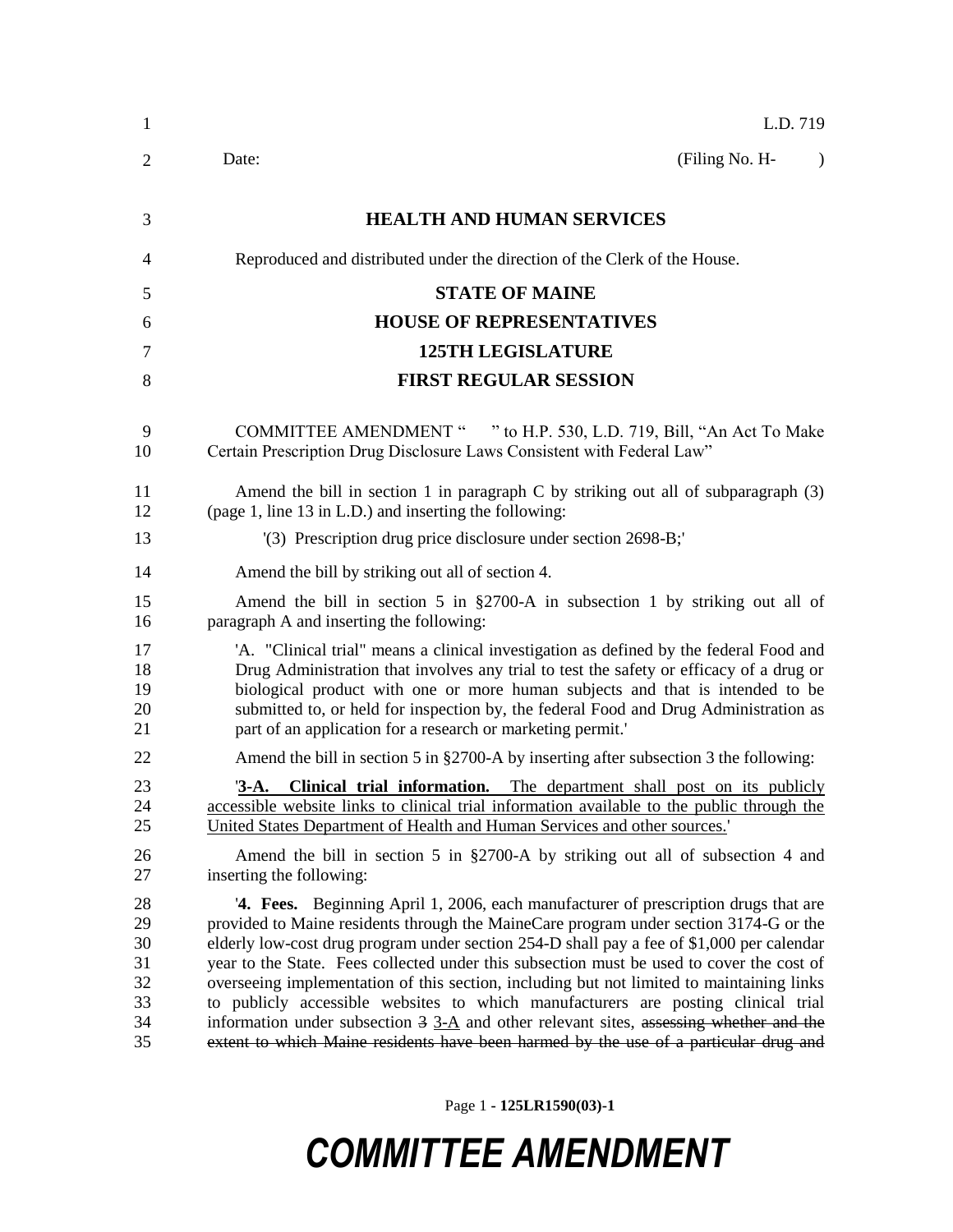| 1                                            | L.D. 719                                                                                                                                                                                                                                                                                                                                                                                                                                                                                                                                                                                                                                                                                                                                                 |
|----------------------------------------------|----------------------------------------------------------------------------------------------------------------------------------------------------------------------------------------------------------------------------------------------------------------------------------------------------------------------------------------------------------------------------------------------------------------------------------------------------------------------------------------------------------------------------------------------------------------------------------------------------------------------------------------------------------------------------------------------------------------------------------------------------------|
| 2                                            | (Filing No. H-<br>Date:<br>$\lambda$                                                                                                                                                                                                                                                                                                                                                                                                                                                                                                                                                                                                                                                                                                                     |
| 3                                            | <b>HEALTH AND HUMAN SERVICES</b>                                                                                                                                                                                                                                                                                                                                                                                                                                                                                                                                                                                                                                                                                                                         |
| 4                                            | Reproduced and distributed under the direction of the Clerk of the House.                                                                                                                                                                                                                                                                                                                                                                                                                                                                                                                                                                                                                                                                                |
| 5                                            | <b>STATE OF MAINE</b>                                                                                                                                                                                                                                                                                                                                                                                                                                                                                                                                                                                                                                                                                                                                    |
| 6                                            | <b>HOUSE OF REPRESENTATIVES</b>                                                                                                                                                                                                                                                                                                                                                                                                                                                                                                                                                                                                                                                                                                                          |
| 7                                            | <b>125TH LEGISLATURE</b>                                                                                                                                                                                                                                                                                                                                                                                                                                                                                                                                                                                                                                                                                                                                 |
| 8                                            | <b>FIRST REGULAR SESSION</b>                                                                                                                                                                                                                                                                                                                                                                                                                                                                                                                                                                                                                                                                                                                             |
| 9<br>10                                      | COMMITTEE AMENDMENT " " to H.P. 530, L.D. 719, Bill, "An Act To Make<br>Certain Prescription Drug Disclosure Laws Consistent with Federal Law"                                                                                                                                                                                                                                                                                                                                                                                                                                                                                                                                                                                                           |
| 11<br>12                                     | Amend the bill in section 1 in paragraph $C$ by striking out all of subparagraph $(3)$<br>(page 1, line 13 in L.D.) and inserting the following:                                                                                                                                                                                                                                                                                                                                                                                                                                                                                                                                                                                                         |
| 13                                           | (3) Prescription drug price disclosure under section 2698-B;                                                                                                                                                                                                                                                                                                                                                                                                                                                                                                                                                                                                                                                                                             |
| 14                                           | Amend the bill by striking out all of section 4.                                                                                                                                                                                                                                                                                                                                                                                                                                                                                                                                                                                                                                                                                                         |
| 15<br>16                                     | Amend the bill in section 5 in §2700-A in subsection 1 by striking out all of<br>paragraph A and inserting the following:                                                                                                                                                                                                                                                                                                                                                                                                                                                                                                                                                                                                                                |
| 17<br>18<br>19<br>20<br>21                   | 'A. "Clinical trial" means a clinical investigation as defined by the federal Food and<br>Drug Administration that involves any trial to test the safety or efficacy of a drug or<br>biological product with one or more human subjects and that is intended to be<br>submitted to, or held for inspection by, the federal Food and Drug Administration as<br>part of an application for a research or marketing permit.'                                                                                                                                                                                                                                                                                                                                |
| 22                                           | Amend the bill in section 5 in §2700-A by inserting after subsection 3 the following:                                                                                                                                                                                                                                                                                                                                                                                                                                                                                                                                                                                                                                                                    |
| 23<br>24<br>25                               | <b>3-A.</b> Clinical trial information. The department shall post on its publicly<br>accessible website links to clinical trial information available to the public through the<br>United States Department of Health and Human Services and other sources.                                                                                                                                                                                                                                                                                                                                                                                                                                                                                              |
| 26<br>27                                     | Amend the bill in section 5 in $\S2700-A$ by striking out all of subsection 4 and<br>inserting the following:                                                                                                                                                                                                                                                                                                                                                                                                                                                                                                                                                                                                                                            |
| 28<br>29<br>30<br>31<br>32<br>33<br>34<br>35 | '4. Fees. Beginning April 1, 2006, each manufacturer of prescription drugs that are<br>provided to Maine residents through the MaineCare program under section 3174-G or the<br>elderly low-cost drug program under section 254-D shall pay a fee of \$1,000 per calendar<br>year to the State. Fees collected under this subsection must be used to cover the cost of<br>overseeing implementation of this section, including but not limited to maintaining links<br>to publicly accessible websites to which manufacturers are posting clinical trial<br>information under subsection $3 \underline{3-A}$ and other relevant sites, assessing whether and the<br>extent to which Maine residents have been harmed by the use of a particular drug and |

Page 1 **- 125LR1590(03)-1**

## *COMMITTEE AMENDMENT*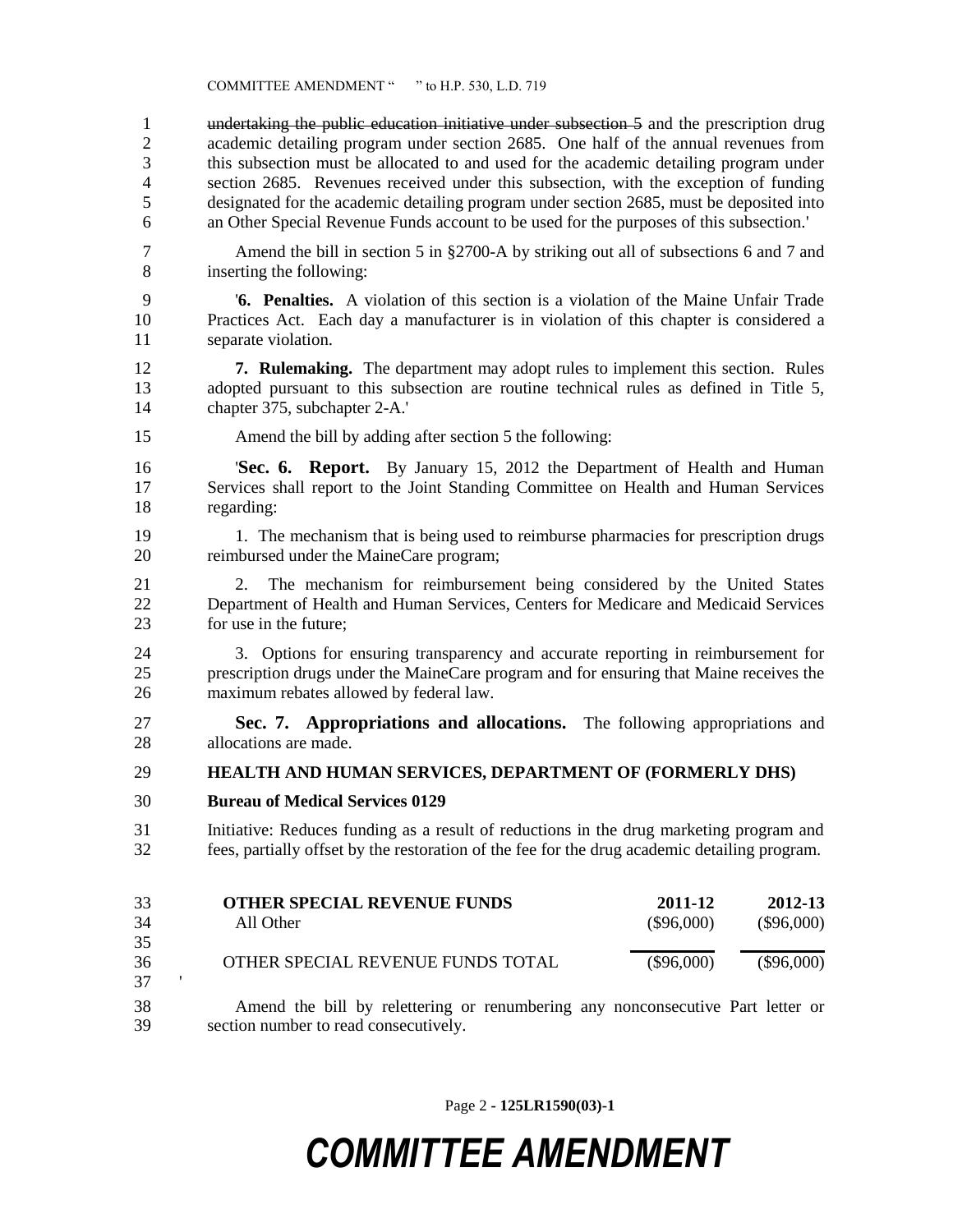undertaking the public education initiative under subsection 5 and the prescription drug academic detailing program under section 2685. One half of the annual revenues from this subsection must be allocated to and used for the academic detailing program under section 2685. Revenues received under this subsection, with the exception of funding designated for the academic detailing program under section 2685, must be deposited into an Other Special Revenue Funds account to be used for the purposes of this subsection.'

- Amend the bill in section 5 in §2700-A by striking out all of subsections 6 and 7 and inserting the following:
- '**6. Penalties.** A violation of this section is a violation of the Maine Unfair Trade Practices Act. Each day a manufacturer is in violation of this chapter is considered a separate violation.
- **7. Rulemaking.** The department may adopt rules to implement this section. Rules adopted pursuant to this subsection are routine technical rules as defined in Title 5, chapter 375, subchapter 2-A.'
- Amend the bill by adding after section 5 the following:

 '**Sec. 6. Report.** By January 15, 2012 the Department of Health and Human Services shall report to the Joint Standing Committee on Health and Human Services regarding:

- 1. The mechanism that is being used to reimburse pharmacies for prescription drugs reimbursed under the MaineCare program;
- 2. The mechanism for reimbursement being considered by the United States Department of Health and Human Services, Centers for Medicare and Medicaid Services for use in the future;
- 3. Options for ensuring transparency and accurate reporting in reimbursement for prescription drugs under the MaineCare program and for ensuring that Maine receives the maximum rebates allowed by federal law.
- **Sec. 7. Appropriations and allocations.** The following appropriations and allocations are made.

**HEALTH AND HUMAN SERVICES, DEPARTMENT OF (FORMERLY DHS)**

- **Bureau of Medical Services 0129**
- Initiative: Reduces funding as a result of reductions in the drug marketing program and fees, partially offset by the restoration of the fee for the drug academic detailing program.

| 33 | <b>OTHER SPECIAL REVENUE FUNDS</b> | 2011-12      | 2012-13      |
|----|------------------------------------|--------------|--------------|
| 34 | All Other                          | $(\$96,000)$ | $(\$96,000)$ |
| 35 |                                    |              |              |
| 36 | OTHER SPECIAL REVENUE FUNDS TOTAL  | $(\$96,000)$ | $(\$96,000)$ |
| 37 |                                    |              |              |

 Amend the bill by relettering or renumbering any nonconsecutive Part letter or section number to read consecutively.

Page 2 **- 125LR1590(03)-1**

## *COMMITTEE AMENDMENT*